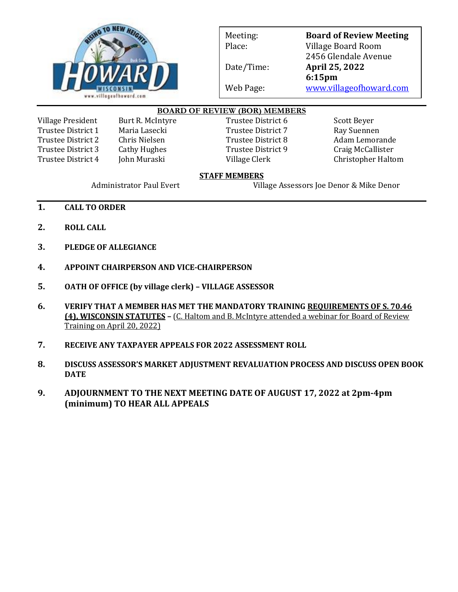

Meeting: **Board of Review Meeting** Place: Village Board Room 2456 Glendale Avenue Date/Time: **April 25, 2022 6:15pm** Web Page: [www.villageofhoward.com](http://www.villageofhoward.com/)

## **BOARD OF REVIEW (BOR) MEMBERS**

Village President Burt R. McIntyre Trustee District 6 Scott Beyer Trustee District 1 Maria Lasecki Kartaster 1 Ray Suennen Trustee District 2 Chris Nielsen Trustee District 8 Adam Lemorande Trustee District 3 Cathy Hughes Trustee District 9 Craig McCallister

Trustee District 4 John Muraski Village Clerk Christopher Haltom

## **STAFF MEMBERS**

Administrator Paul Evert Village Assessors Joe Denor & Mike Denor

- **1. CALL TO ORDER**
- **2. ROLL CALL**
- **3. PLEDGE OF ALLEGIANCE**
- **4. APPOINT CHAIRPERSON AND VICE-CHAIRPERSON**
- **5. OATH OF OFFICE (by village clerk) – VILLAGE ASSESSOR**
- **6. VERIFY THAT A MEMBER HAS MET THE MANDATORY TRAINING [REQUIREMENTS OF S. 70.46](https://www.villageofhoward.com/DocumentCenter/View/5063/DOR-communication---assessment-law-changes)  [\(4\), WISCONSIN STATUTES](https://www.villageofhoward.com/DocumentCenter/View/5063/DOR-communication---assessment-law-changes) –** (C. Haltom and B. McIntyre [attended a webinar for Board of Review](https://www.villageofhoward.com/DocumentCenter/View/5062/BOR-Member-Training-Affidavit-2019)  [Training on April](https://www.villageofhoward.com/DocumentCenter/View/5062/BOR-Member-Training-Affidavit-2019) 20, 2022)
- **7. RECEIVE ANY TAXPAYER APPEALS FOR 2022 ASSESSMENT ROLL**
- **8. DISCUSS ASSESSOR'S MARKET ADJUSTMENT REVALUATION PROCESS AND DISCUSS OPEN BOOK DATE**
- **9. ADJOURNMENT TO THE NEXT MEETING DATE OF AUGUST 17, 2022 at 2pm-4pm (minimum) TO HEAR ALL APPEALS**